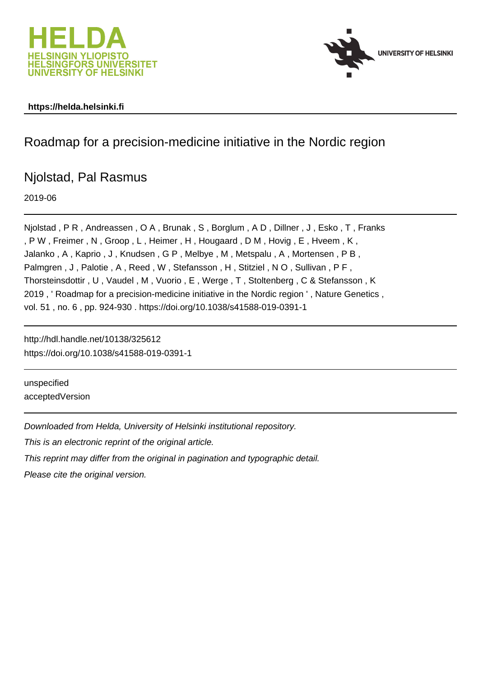



#### **https://helda.helsinki.fi**

# Roadmap for a precision-medicine initiative in the Nordic region

# Njolstad, Pal Rasmus

2019-06

Njolstad , P R , Andreassen , O A , Brunak , S , Borglum , A D , Dillner , J , Esko , T , Franks , P W , Freimer , N , Groop , L , Heimer , H , Hougaard , D M , Hovig , E , Hveem , K , Jalanko , A , Kaprio , J , Knudsen , G P , Melbye , M , Metspalu , A , Mortensen , P B , Palmgren, J, Palotie, A, Reed, W, Stefansson, H, Stitziel, NO, Sullivan, PF, Thorsteinsdottir , U , Vaudel , M , Vuorio , E , Werge , T , Stoltenberg , C & Stefansson , K 2019 , ' Roadmap for a precision-medicine initiative in the Nordic region ' , Nature Genetics , vol. 51 , no. 6 , pp. 924-930 . https://doi.org/10.1038/s41588-019-0391-1

http://hdl.handle.net/10138/325612 https://doi.org/10.1038/s41588-019-0391-1

unspecified acceptedVersion

Downloaded from Helda, University of Helsinki institutional repository. This is an electronic reprint of the original article. This reprint may differ from the original in pagination and typographic detail. Please cite the original version.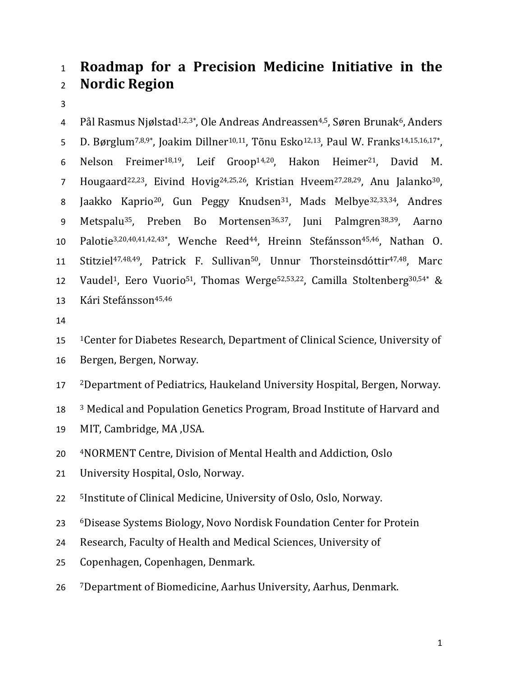# <sup>1</sup>**Roadmap for a Precision Medicine Initiative in the**  <sup>2</sup>**Nordic Region**

3

4 Pål Rasmus Njølstad<sup>1,2,3\*</sup>, Ole Andreas Andreassen<sup>4,5</sup>, Søren Brunak<sup>6</sup>, Anders 5 D. Børglum<sup>7,8,9\*</sup>, Joakim Dillner<sup>10,11</sup>, Tõnu Esko<sup>12,13</sup>, Paul W. Franks<sup>14,15,16,17\*</sup>, 6 Nelson Freimer<sup>18,19</sup>, Leif Groop<sup>14,20</sup>, Hakon Heimer<sup>21</sup>, David M. 7 Hougaard<sup>22,23</sup>, Eivind Hovig<sup>24,25,26</sup>, Kristian Hveem<sup>27,28,29</sup>, Anu Jalanko<sup>30</sup>, 8 Jaakko Kaprio<sup>20</sup>, Gun Peggy Knudsen<sup>31</sup>, Mads Melbye<sup>32,33,34</sup>, Andres 9 Metspalu<sup>35</sup>, Preben Bo Mortensen<sup>36,37</sup>, Juni Palmgren<sup>38,39</sup>, Aarno 10 Palotie<sup>3,20,40,41,42,43\*</sup>, Wenche Reed<sup>44</sup>, Hreinn Stefánsson<sup>45,46</sup>, Nathan O. 11 Stitziel<sup>47,48,49</sup>, Patrick F. Sullivan<sup>50</sup>, Unnur Thorsteinsdóttir<sup>47,48</sup>, Marc 12 Vaudel<sup>1</sup>, Eero Vuorio<sup>51</sup>, Thomas Werge<sup>52,53,22</sup>, Camilla Stoltenberg<sup>30,54\*</sup> & 13 Kári Stefánsson<sup>45,46</sup>

14

15 1Center for Diabetes Research, Department of Clinical Science, University of

16 Bergen, Bergen, Norway.

17 2Department of Pediatrics, Haukeland University Hospital, Bergen, Norway.

18 <sup>3</sup> Medical and Population Genetics Program, Broad Institute of Harvard and

19 MIT, Cambridge, MA ,USA.

20 4NORMENT Centre, Division of Mental Health and Addiction, Oslo

21 University Hospital, Oslo, Norway.

22 <sup>5</sup>Institute of Clinical Medicine, University of Oslo, Oslo, Norway.

23 6Disease Systems Biology, Novo Nordisk Foundation Center for Protein

24 Research, Faculty of Health and Medical Sciences, University of

25 Copenhagen, Copenhagen, Denmark.

26 7Department of Biomedicine, Aarhus University, Aarhus, Denmark.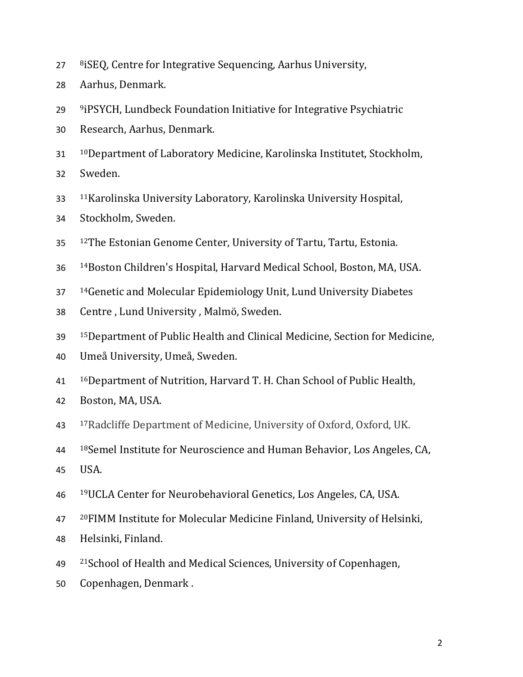- 27 8 8 8 1 SEQ, Centre for Integrative Sequencing, Aarhus University,
- Aarhus, Denmark.
- <sup>9</sup> iPSYCH, Lundbeck Foundation Initiative for Integrative Psychiatric
- Research, Aarhus, Denmark.
- 10Department of Laboratory Medicine, Karolinska Institutet, Stockholm, Sweden.
- 
- 11Karolinska University Laboratory, Karolinska University Hospital,
- Stockholm, Sweden.
- 35 12The Estonian Genome Center, University of Tartu, Tartu, Estonia.
- 14Boston Children's Hospital, Harvard Medical School, Boston, MA, USA.
- 14Genetic and Molecular Epidemiology Unit, Lund University Diabetes
- Centre , Lund University , Malmö, Sweden.
- 15Department of Public Health and Clinical Medicine, Section for Medicine,
- Umeå University, Umeå, Sweden.
- 16Department of Nutrition, Harvard T. H. Chan School of Public Health,
- Boston, MA, USA.
- 17Radcliffe Department of Medicine, University of Oxford, Oxford, UK.
- <sup>18</sup> Semel Institute for Neuroscience and Human Behavior, Los Angeles, CA,
- USA.
- 19UCLA Center for Neurobehavioral Genetics, Los Angeles, CA, USA.
- 20FIMM Institute for Molecular Medicine Finland, University of Helsinki,
- Helsinki, Finland.
- 49 <sup>21</sup> School of Health and Medical Sciences, University of Copenhagen,
- Copenhagen, Denmark .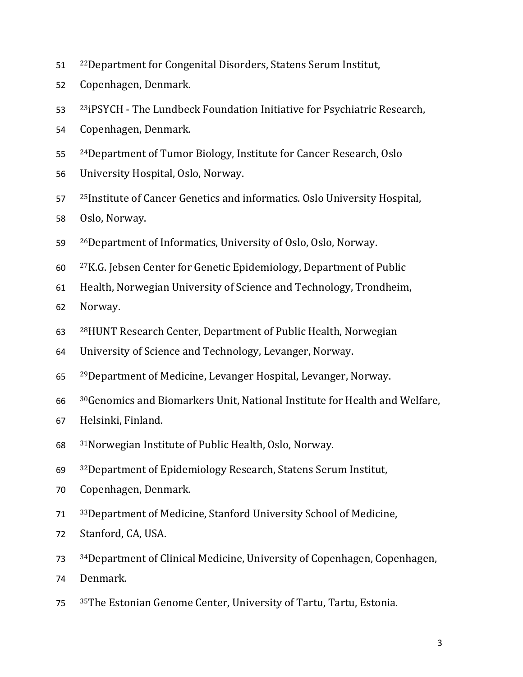- 22Department for Congenital Disorders, Statens Serum Institut,
- Copenhagen, Denmark.
- 53 <sup>23</sup>iPSYCH The Lundbeck Foundation Initiative for Psychiatric Research,
- Copenhagen, Denmark.
- 55 <sup>24</sup>Department of Tumor Biology, Institute for Cancer Research, Oslo
- University Hospital, Oslo, Norway.
- 57 <sup>25</sup>Institute of Cancer Genetics and informatics. Oslo University Hospital, Oslo, Norway.
- 26Department of Informatics, University of Oslo, Oslo, Norway.
- 27K.G. Jebsen Center for Genetic Epidemiology, Department of Public
- Health, Norwegian University of Science and Technology, Trondheim,
- Norway.
- 28HUNT Research Center, Department of Public Health, Norwegian
- University of Science and Technology, Levanger, Norway.
- 29Department of Medicine, Levanger Hospital, Levanger, Norway.
- 30Genomics and Biomarkers Unit, National Institute for Health and Welfare,
- Helsinki, Finland.
- 31Norwegian Institute of Public Health, Oslo, Norway.
- 32Department of Epidemiology Research, Statens Serum Institut,
- Copenhagen, Denmark.
- 33Department of Medicine, Stanford University School of Medicine,
- Stanford, CA, USA.
- 34Department of Clinical Medicine, University of Copenhagen, Copenhagen,
- Denmark.
- 35The Estonian Genome Center, University of Tartu, Tartu, Estonia.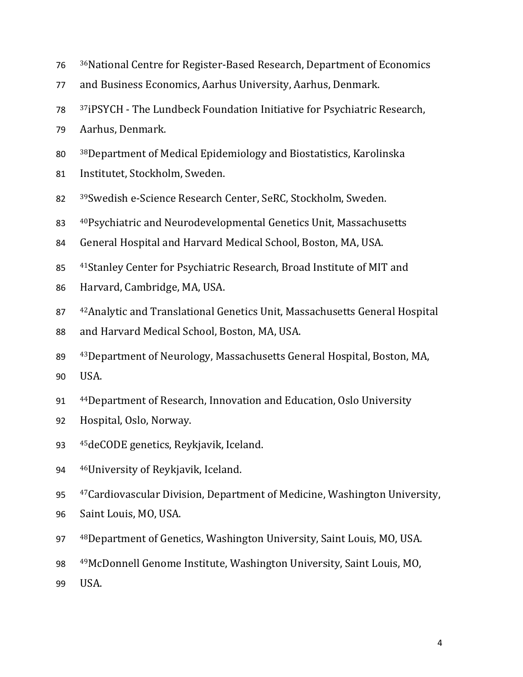| 76 | <sup>36</sup> National Centre for Register-Based Research, Department of Economics     |
|----|----------------------------------------------------------------------------------------|
| 77 | and Business Economics, Aarhus University, Aarhus, Denmark.                            |
| 78 | <sup>37</sup> iPSYCH - The Lundbeck Foundation Initiative for Psychiatric Research,    |
| 79 | Aarhus, Denmark.                                                                       |
| 80 | <sup>38</sup> Department of Medical Epidemiology and Biostatistics, Karolinska         |
| 81 | Institutet, Stockholm, Sweden.                                                         |
| 82 | <sup>39</sup> Swedish e-Science Research Center, SeRC, Stockholm, Sweden.              |
| 83 | 40Psychiatric and Neurodevelopmental Genetics Unit, Massachusetts                      |
| 84 | General Hospital and Harvard Medical School, Boston, MA, USA.                          |
| 85 | <sup>41</sup> Stanley Center for Psychiatric Research, Broad Institute of MIT and      |
| 86 | Harvard, Cambridge, MA, USA.                                                           |
| 87 | <sup>42</sup> Analytic and Translational Genetics Unit, Massachusetts General Hospital |
| 88 | and Harvard Medical School, Boston, MA, USA.                                           |
| 89 | <sup>43</sup> Department of Neurology, Massachusetts General Hospital, Boston, MA,     |
| 90 | USA.                                                                                   |
| 91 | <sup>44</sup> Department of Research, Innovation and Education, Oslo University        |
| 92 | Hospital, Oslo, Norway.                                                                |
| 93 | <sup>45</sup> deCODE genetics, Reykjavik, Iceland.                                     |
| 94 | <sup>46</sup> University of Reykjavik, Iceland.                                        |
| 95 | <sup>47</sup> Cardiovascular Division, Department of Medicine, Washington University,  |
| 96 | Saint Louis, MO, USA.                                                                  |

- 97 48Department of Genetics, Washington University, Saint Louis, MO, USA.
- 98 49McDonnell Genome Institute, Washington University, Saint Louis, MO,
- 99 USA.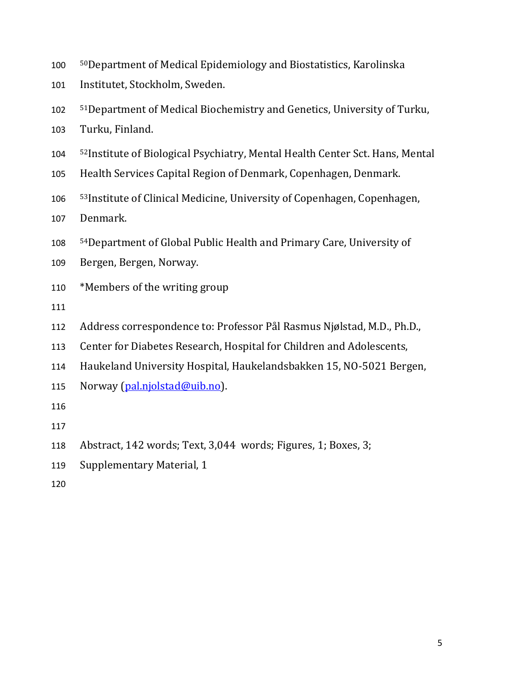- 50Department of Medical Epidemiology and Biostatistics, Karolinska
- Institutet, Stockholm, Sweden.
- 51Department of Medical Biochemistry and Genetics, University of Turku,
- Turku, Finland.
- 104 <sup>52</sup> Institute of Biological Psychiatry, Mental Health Center Sct. Hans, Mental
- Health Services Capital Region of Denmark, Copenhagen, Denmark.
- 106 <sup>53</sup> Institute of Clinical Medicine, University of Copenhagen, Copenhagen,
- Denmark.
- 54Department of Global Public Health and Primary Care, University of
- Bergen, Bergen, Norway.
- \*Members of the writing group
- 
- Address correspondence to: Professor Pål Rasmus Njølstad, M.D., Ph.D.,
- Center for Diabetes Research, Hospital for Children and Adolescents,
- Haukeland University Hospital, Haukelandsbakken 15, NO-5021 Bergen,
- 115 Norway (pal.njolstad@uib.no).
- 
- 
- Abstract, 142 words; Text, 3,044 words; Figures, 1; Boxes, 3;
- Supplementary Material, 1
-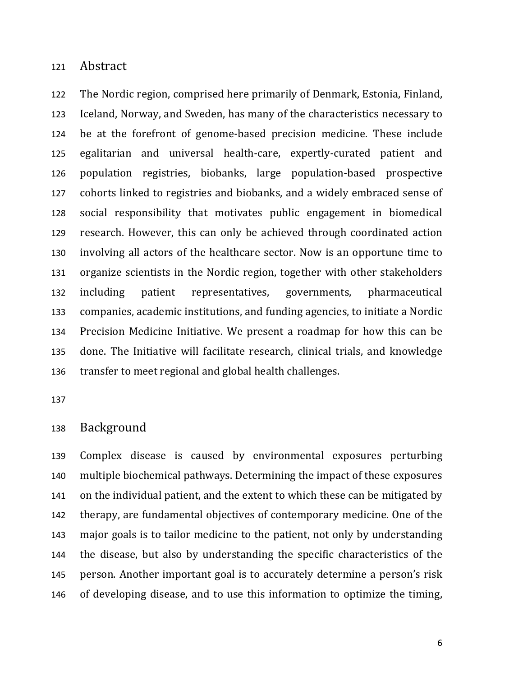#### Abstract

The Nordic region, comprised here primarily of Denmark, Estonia, Finland, Iceland, Norway, and Sweden, has many of the characteristics necessary to be at the forefront of genome-based precision medicine. These include egalitarian and universal health-care, expertly-curated patient and population registries, biobanks, large population-based prospective cohorts linked to registries and biobanks, and a widely embraced sense of social responsibility that motivates public engagement in biomedical research. However, this can only be achieved through coordinated action involving all actors of the healthcare sector. Now is an opportune time to organize scientists in the Nordic region, together with other stakeholders including patient representatives, governments, pharmaceutical companies, academic institutions, and funding agencies, to initiate a Nordic Precision Medicine Initiative. We present a roadmap for how this can be done. The Initiative will facilitate research, clinical trials, and knowledge transfer to meet regional and global health challenges.

### Background

Complex disease is caused by environmental exposures perturbing multiple biochemical pathways. Determining the impact of these exposures on the individual patient, and the extent to which these can be mitigated by therapy, are fundamental objectives of contemporary medicine. One of the major goals is to tailor medicine to the patient, not only by understanding the disease, but also by understanding the specific characteristics of the person. Another important goal is to accurately determine a person's risk of developing disease, and to use this information to optimize the timing,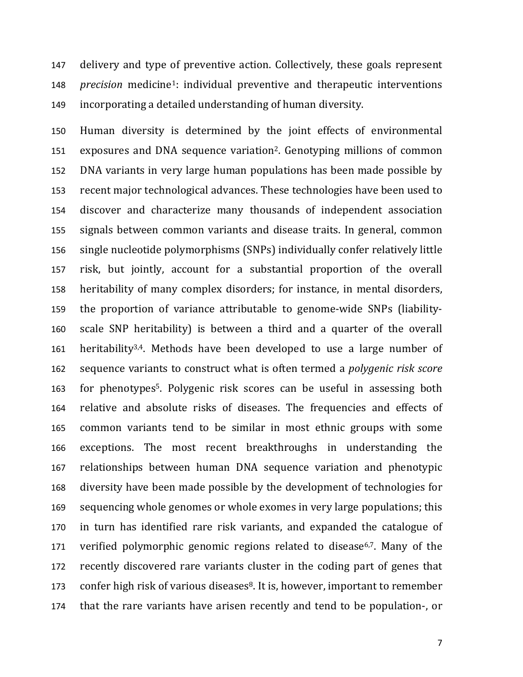delivery and type of preventive action. Collectively, these goals represent 148 *precision* medicine<sup>1</sup>: individual preventive and therapeutic interventions incorporating a detailed understanding of human diversity.

Human diversity is determined by the joint effects of environmental 151 exposures and DNA sequence variation<sup>2</sup>. Genotyping millions of common DNA variants in very large human populations has been made possible by recent major technological advances. These technologies have been used to discover and characterize many thousands of independent association signals between common variants and disease traits. In general, common single nucleotide polymorphisms (SNPs) individually confer relatively little risk, but jointly, account for a substantial proportion of the overall heritability of many complex disorders; for instance, in mental disorders, the proportion of variance attributable to genome-wide SNPs (liability-scale SNP heritability) is between a third and a quarter of the overall 161 heritability<sup>3,4</sup>. Methods have been developed to use a large number of sequence variants to construct what is often termed a *polygenic risk score* 163 for phenotypes<sup>5</sup>. Polygenic risk scores can be useful in assessing both relative and absolute risks of diseases. The frequencies and effects of common variants tend to be similar in most ethnic groups with some exceptions. The most recent breakthroughs in understanding the relationships between human DNA sequence variation and phenotypic diversity have been made possible by the development of technologies for sequencing whole genomes or whole exomes in very large populations; this in turn has identified rare risk variants, and expanded the catalogue of 171 verified polymorphic genomic regions related to disease<sup>6,7</sup>. Many of the recently discovered rare variants cluster in the coding part of genes that 173 confer high risk of various diseases. It is, however, important to remember that the rare variants have arisen recently and tend to be population-, or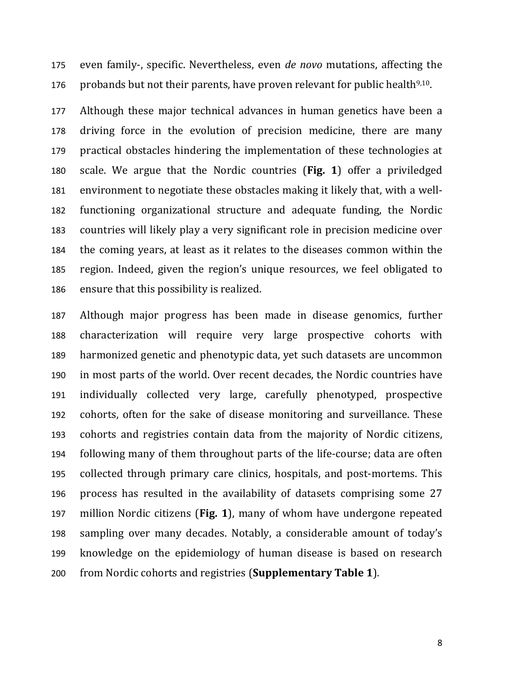even family-, specific. Nevertheless, even *de novo* mutations, affecting the 176 probands but not their parents, have proven relevant for public health<sup>9,10</sup>.

Although these major technical advances in human genetics have been a driving force in the evolution of precision medicine, there are many practical obstacles hindering the implementation of these technologies at scale. We argue that the Nordic countries (**Fig. 1**) offer a priviledged environment to negotiate these obstacles making it likely that, with a well-functioning organizational structure and adequate funding, the Nordic countries will likely play a very significant role in precision medicine over the coming years, at least as it relates to the diseases common within the region. Indeed, given the region's unique resources, we feel obligated to ensure that this possibility is realized.

Although major progress has been made in disease genomics, further characterization will require very large prospective cohorts with harmonized genetic and phenotypic data, yet such datasets are uncommon in most parts of the world. Over recent decades, the Nordic countries have individually collected very large, carefully phenotyped, prospective cohorts, often for the sake of disease monitoring and surveillance. These cohorts and registries contain data from the majority of Nordic citizens, following many of them throughout parts of the life-course; data are often collected through primary care clinics, hospitals, and post-mortems. This process has resulted in the availability of datasets comprising some 27 million Nordic citizens (**Fig. 1**), many of whom have undergone repeated sampling over many decades. Notably, a considerable amount of today's knowledge on the epidemiology of human disease is based on research from Nordic cohorts and registries (**Supplementary Table 1**).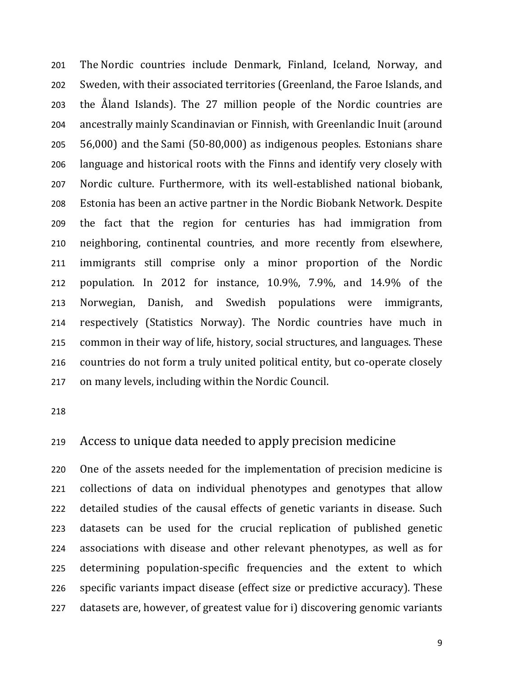The Nordic countries include Denmark, Finland, Iceland, Norway, and Sweden, with their associated territories (Greenland, the Faroe Islands, and the Åland Islands). The 27 million people of the Nordic countries are ancestrally mainly Scandinavian or Finnish, with Greenlandic Inuit (around 56,000) and the Sami (50-80,000) as indigenous peoples. Estonians share language and historical roots with the Finns and identify very closely with Nordic culture. Furthermore, with its well-established national biobank, Estonia has been an active partner in the Nordic Biobank Network. Despite the fact that the region for centuries has had immigration from neighboring, continental countries, and more recently from elsewhere, immigrants still comprise only a minor proportion of the Nordic population. In 2012 for instance, 10.9%, 7.9%, and 14.9% of the Norwegian, Danish, and Swedish populations were immigrants, respectively (Statistics Norway). The Nordic countries have much in common in their way of life, history, social structures, and languages. These countries do not form a truly united political entity, but co-operate closely on many levels, including within the Nordic Council.

## Access to unique data needed to apply precision medicine

One of the assets needed for the implementation of precision medicine is collections of data on individual phenotypes and genotypes that allow detailed studies of the causal effects of genetic variants in disease. Such datasets can be used for the crucial replication of published genetic associations with disease and other relevant phenotypes, as well as for determining population-specific frequencies and the extent to which specific variants impact disease (effect size or predictive accuracy). These datasets are, however, of greatest value for i) discovering genomic variants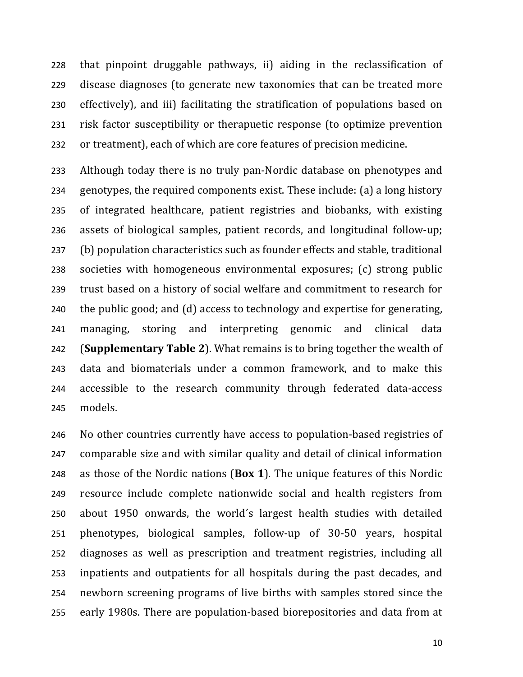that pinpoint druggable pathways, ii) aiding in the reclassification of disease diagnoses (to generate new taxonomies that can be treated more effectively), and iii) facilitating the stratification of populations based on risk factor susceptibility or therapuetic response (to optimize prevention or treatment), each of which are core features of precision medicine.

Although today there is no truly pan-Nordic database on phenotypes and genotypes, the required components exist. These include: (a) a long history of integrated healthcare, patient registries and biobanks, with existing assets of biological samples, patient records, and longitudinal follow-up; (b) population characteristics such as founder effects and stable, traditional societies with homogeneous environmental exposures; (c) strong public trust based on a history of social welfare and commitment to research for the public good; and (d) access to technology and expertise for generating, managing, storing and interpreting genomic and clinical data (**Supplementary Table 2**). What remains is to bring together the wealth of data and biomaterials under a common framework, and to make this accessible to the research community through federated data-access models.

No other countries currently have access to population-based registries of comparable size and with similar quality and detail of clinical information as those of the Nordic nations (**Box 1**). The unique features of this Nordic resource include complete nationwide social and health registers from about 1950 onwards, the world´s largest health studies with detailed phenotypes, biological samples, follow-up of 30-50 years, hospital diagnoses as well as prescription and treatment registries, including all inpatients and outpatients for all hospitals during the past decades, and newborn screening programs of live births with samples stored since the early 1980s. There are population-based biorepositories and data from at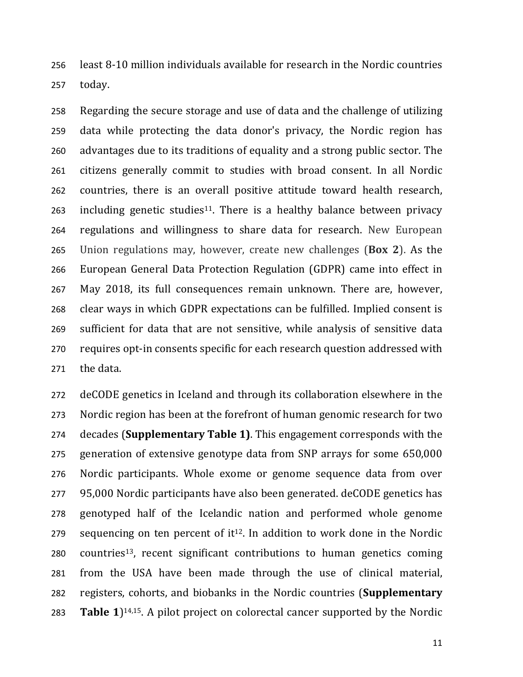least 8-10 million individuals available for research in the Nordic countries today.

Regarding the secure storage and use of data and the challenge of utilizing data while protecting the data donor's privacy, the Nordic region has advantages due to its traditions of equality and a strong public sector. The citizens generally commit to studies with broad consent. In all Nordic countries, there is an overall positive attitude toward health research, 263 including genetic studies<sup>11</sup>. There is a healthy balance between privacy regulations and willingness to share data for research. New European Union regulations may, however, create new challenges (**Box 2**). As the European General Data Protection Regulation (GDPR) came into effect in May 2018, its full consequences remain unknown. There are, however, clear ways in which GDPR expectations can be fulfilled. Implied consent is sufficient for data that are not sensitive, while analysis of sensitive data requires opt-in consents specific for each research question addressed with the data.

deCODE genetics in Iceland and through its collaboration elsewhere in the Nordic region has been at the forefront of human genomic research for two decades (**Supplementary Table 1)**. This engagement corresponds with the generation of extensive genotype data from SNP arrays for some 650,000 Nordic participants. Whole exome or genome sequence data from over 95,000 Nordic participants have also been generated. deCODE genetics has genotyped half of the Icelandic nation and performed whole genome sequencing on ten percent of it<sup>12</sup>. In addition to work done in the Nordic countries<sup>13</sup>, recent significant contributions to human genetics coming from the USA have been made through the use of clinical material, registers, cohorts, and biobanks in the Nordic countries (**Supplementary Table 1**)<sup>14,15</sup>. A pilot project on colorectal cancer supported by the Nordic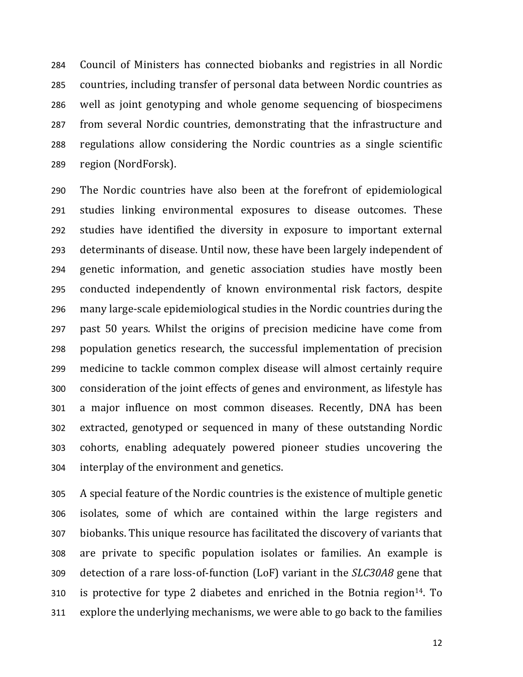Council of Ministers has connected biobanks and registries in all Nordic countries, including transfer of personal data between Nordic countries as well as joint genotyping and whole genome sequencing of biospecimens from several Nordic countries, demonstrating that the infrastructure and regulations allow considering the Nordic countries as a single scientific region (NordForsk).

The Nordic countries have also been at the forefront of epidemiological studies linking environmental exposures to disease outcomes. These studies have identified the diversity in exposure to important external determinants of disease. Until now, these have been largely independent of genetic information, and genetic association studies have mostly been conducted independently of known environmental risk factors, despite many large-scale epidemiological studies in the Nordic countries during the past 50 years. Whilst the origins of precision medicine have come from population genetics research, the successful implementation of precision medicine to tackle common complex disease will almost certainly require consideration of the joint effects of genes and environment, as lifestyle has a major influence on most common diseases. Recently, DNA has been extracted, genotyped or sequenced in many of these outstanding Nordic cohorts, enabling adequately powered pioneer studies uncovering the interplay of the environment and genetics.

A special feature of the Nordic countries is the existence of multiple genetic isolates, some of which are contained within the large registers and biobanks. This unique resource has facilitated the discovery of variants that are private to specific population isolates or families. An example is detection of a rare loss-of-function (LoF) variant in the *SLC30A8* gene that 310 is protective for type 2 diabetes and enriched in the Botnia region<sup>14</sup>. To explore the underlying mechanisms, we were able to go back to the families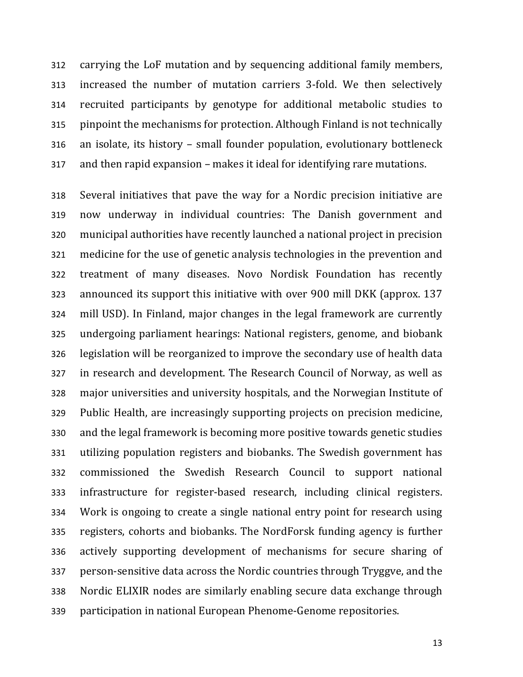carrying the LoF mutation and by sequencing additional family members, increased the number of mutation carriers 3-fold. We then selectively recruited participants by genotype for additional metabolic studies to pinpoint the mechanisms for protection. Although Finland is not technically an isolate, its history – small founder population, evolutionary bottleneck and then rapid expansion – makes it ideal for identifying rare mutations.

Several initiatives that pave the way for a Nordic precision initiative are now underway in individual countries: The Danish government and municipal authorities have recently launched a national project in precision medicine for the use of genetic analysis technologies in the prevention and treatment of many diseases. Novo Nordisk Foundation has recently announced its support this initiative with over 900 mill DKK (approx. 137 mill USD). In Finland, major changes in the legal framework are currently undergoing parliament hearings: National registers, genome, and biobank legislation will be reorganized to improve the secondary use of health data in research and development. The Research Council of Norway, as well as major universities and university hospitals, and the Norwegian Institute of Public Health, are increasingly supporting projects on precision medicine, and the legal framework is becoming more positive towards genetic studies utilizing population registers and biobanks. The Swedish government has commissioned the Swedish Research Council to support national infrastructure for register-based research, including clinical registers. Work is ongoing to create a single national entry point for research using registers, cohorts and biobanks. The NordForsk funding agency is further actively supporting development of mechanisms for secure sharing of person-sensitive data across the Nordic countries through Tryggve, and the Nordic ELIXIR nodes are similarly enabling secure data exchange through participation in national European Phenome-Genome repositories.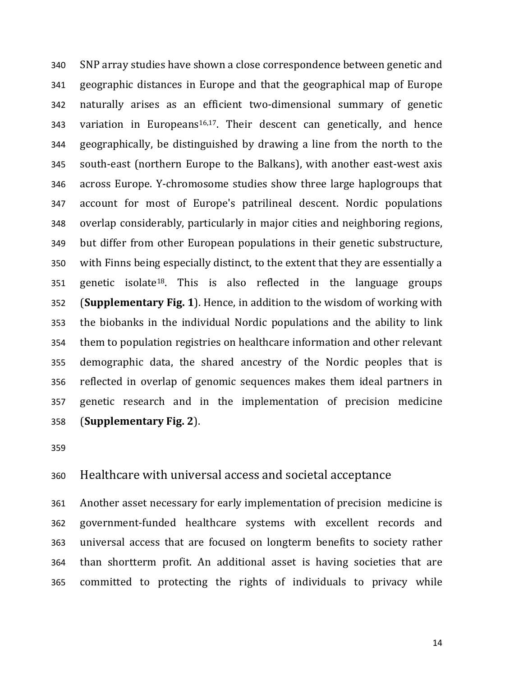SNP array studies have shown a close correspondence between genetic and geographic distances in Europe and that the geographical map of Europe naturally arises as an efficient two-dimensional summary of genetic 343 variation in Europeans<sup>16,17</sup>. Their descent can genetically, and hence geographically, be distinguished by drawing a line from the north to the south-east (northern Europe to the Balkans), with another east-west axis across Europe. Y-chromosome studies show three large haplogroups that account for most of Europe's patrilineal descent. Nordic populations overlap considerably, particularly in major cities and neighboring regions, but differ from other European populations in their genetic substructure, with Finns being especially distinct, to the extent that they are essentially a 351 genetic isolate<sup>18</sup>. This is also reflected in the language groups (**Supplementary Fig. 1**). Hence, in addition to the wisdom of working with the biobanks in the individual Nordic populations and the ability to link them to population registries on healthcare information and other relevant demographic data, the shared ancestry of the Nordic peoples that is reflected in overlap of genomic sequences makes them ideal partners in genetic research and in the implementation of precision medicine (**Supplementary Fig. 2**).

## Healthcare with universal access and societal acceptance

Another asset necessary for early implementation of precision medicine is government-funded healthcare systems with excellent records and universal access that are focused on longterm benefits to society rather than shortterm profit. An additional asset is having societies that are committed to protecting the rights of individuals to privacy while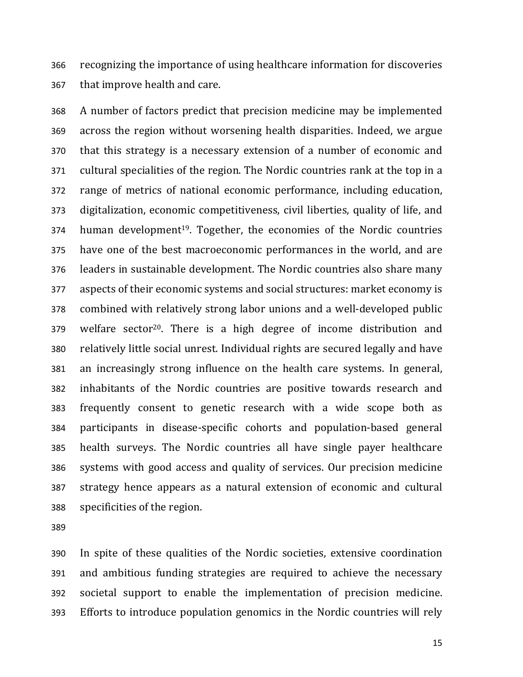recognizing the importance of using healthcare information for discoveries that improve health and care.

A number of factors predict that precision medicine may be implemented across the region without worsening health disparities. Indeed, we argue that this strategy is a necessary extension of a number of economic and cultural specialities of the region. The Nordic countries rank at the top in a range of metrics of national economic performance, including education, digitalization, economic competitiveness, civil liberties, quality of life, and human development<sup>19</sup>. Together, the economies of the Nordic countries have one of the best macroeconomic performances in the world, and are leaders in sustainable development. The Nordic countries also share many aspects of their economic systems and social structures: market economy is combined with relatively strong labor unions and a well-developed public welfare sector<sup>20</sup>. There is a high degree of income distribution and relatively little social unrest. Individual rights are secured legally and have an increasingly strong influence on the health care systems. In general, inhabitants of the Nordic countries are positive towards research and frequently consent to genetic research with a wide scope both as participants in disease-specific cohorts and population-based general health surveys. The Nordic countries all have single payer healthcare systems with good access and quality of services. Our precision medicine strategy hence appears as a natural extension of economic and cultural specificities of the region.

In spite of these qualities of the Nordic societies, extensive coordination and ambitious funding strategies are required to achieve the necessary societal support to enable the implementation of precision medicine. Efforts to introduce population genomics in the Nordic countries will rely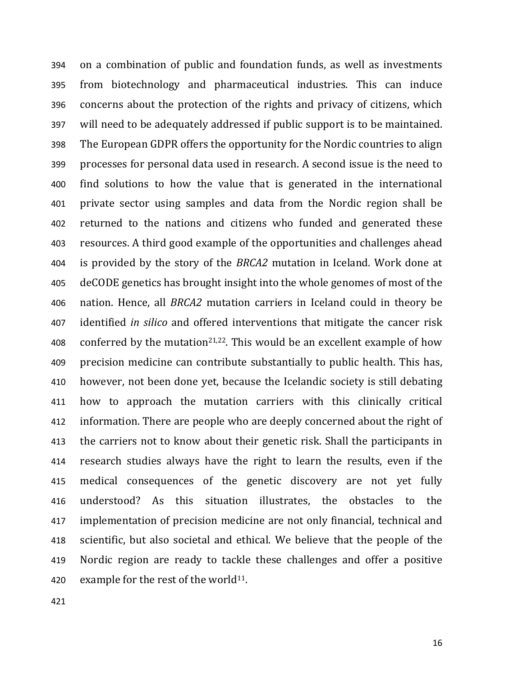on a combination of public and foundation funds, as well as investments from biotechnology and pharmaceutical industries. This can induce concerns about the protection of the rights and privacy of citizens, which will need to be adequately addressed if public support is to be maintained. The European GDPR offers the opportunity for the Nordic countries to align processes for personal data used in research. A second issue is the need to find solutions to how the value that is generated in the international private sector using samples and data from the Nordic region shall be returned to the nations and citizens who funded and generated these resources. A third good example of the opportunities and challenges ahead is provided by the story of the *BRCA2* mutation in Iceland. Work done at deCODE genetics has brought insight into the whole genomes of most of the nation. Hence, all *BRCA2* mutation carriers in Iceland could in theory be identified *in silico* and offered interventions that mitigate the cancer risk 408 conferred by the mutation<sup>21,22</sup>. This would be an excellent example of how precision medicine can contribute substantially to public health. This has, however, not been done yet, because the Icelandic society is still debating how to approach the mutation carriers with this clinically critical information. There are people who are deeply concerned about the right of the carriers not to know about their genetic risk. Shall the participants in research studies always have the right to learn the results, even if the medical consequences of the genetic discovery are not yet fully understood? As this situation illustrates, the obstacles to the implementation of precision medicine are not only financial, technical and scientific, but also societal and ethical. We believe that the people of the Nordic region are ready to tackle these challenges and offer a positive 420 example for the rest of the world<sup>11</sup>.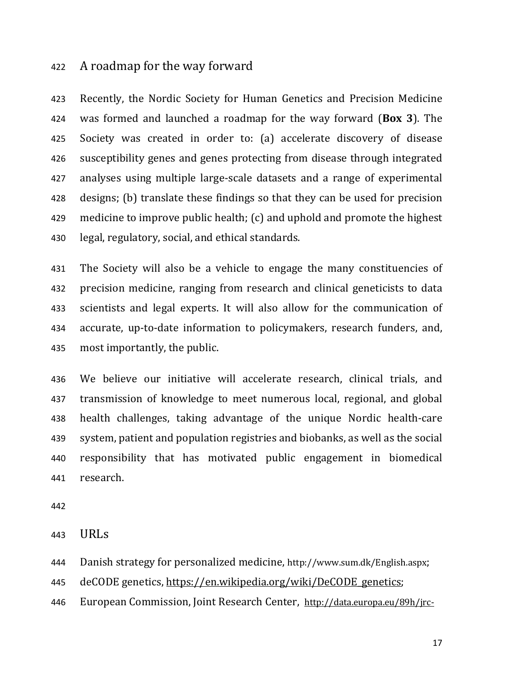### A roadmap for the way forward

Recently, the Nordic Society for Human Genetics and Precision Medicine was formed and launched a roadmap for the way forward (**Box 3**). The Society was created in order to: (a) accelerate discovery of disease susceptibility genes and genes protecting from disease through integrated analyses using multiple large-scale datasets and a range of experimental designs; (b) translate these findings so that they can be used for precision medicine to improve public health; (c) and uphold and promote the highest legal, regulatory, social, and ethical standards.

The Society will also be a vehicle to engage the many constituencies of precision medicine, ranging from research and clinical geneticists to data scientists and legal experts. It will also allow for the communication of accurate, up-to-date information to policymakers, research funders, and, most importantly, the public.

We believe our initiative will accelerate research, clinical trials, and transmission of knowledge to meet numerous local, regional, and global health challenges, taking advantage of the unique Nordic health-care system, patient and population registries and biobanks, as well as the social responsibility that has motivated public engagement in biomedical research.

URLs

Danish strategy for personalized medicine, http://www.sum.dk/English.aspx;

445 deCODE genetics, https://en.wikipedia.org/wiki/DeCODE genetics;

European Commission, Joint Research Center, http://data.europa.eu/89h/jrc-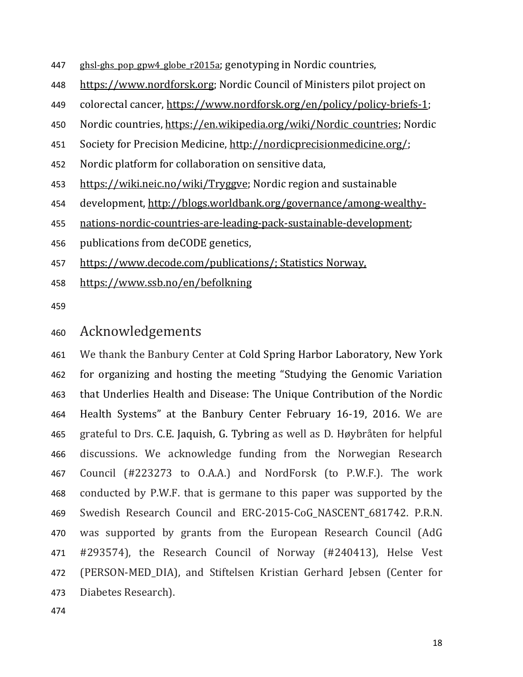- 447 ghsl-ghs pop gpw4 globe r2015a; genotyping in Nordic countries,
- https://www.nordforsk.org; Nordic Council of Ministers pilot project on
- colorectal cancer, https://www.nordforsk.org/en/policy/policy-briefs-1;
- Nordic countries, https://en.wikipedia.org/wiki/Nordic\_countries; Nordic
- Society for Precision Medicine, http://nordicprecisionmedicine.org/;
- Nordic platform for collaboration on sensitive data,
- https://wiki.neic.no/wiki/Tryggve; Nordic region and sustainable
- development, http://blogs.worldbank.org/governance/among-wealthy-
- nations-nordic-countries-are-leading-pack-sustainable-development;
- publications from deCODE genetics,
- https://www.decode.com/publications/; Statistics Norway,
- https://www.ssb.no/en/befolkning
- 

# 460 Acknowledgements

We thank the Banbury Center at Cold Spring Harbor Laboratory, New York for organizing and hosting the meeting "Studying the Genomic Variation that Underlies Health and Disease: The Unique Contribution of the Nordic Health Systems" at the Banbury Center February 16-19, 2016. We are grateful to Drs. C.E. Jaquish, G. Tybring as well as D. Høybråten for helpful discussions. We acknowledge funding from the Norwegian Research Council (#223273 to O.A.A.) and NordForsk (to P.W.F.). The work conducted by P.W.F. that is germane to this paper was supported by the 469 Swedish Research Council and ERC-2015-CoG NASCENT 681742. P.R.N. was supported by grants from the European Research Council (AdG #293574), the Research Council of Norway (#240413), Helse Vest (PERSON-MED\_DIA), and Stiftelsen Kristian Gerhard Jebsen (Center for Diabetes Research).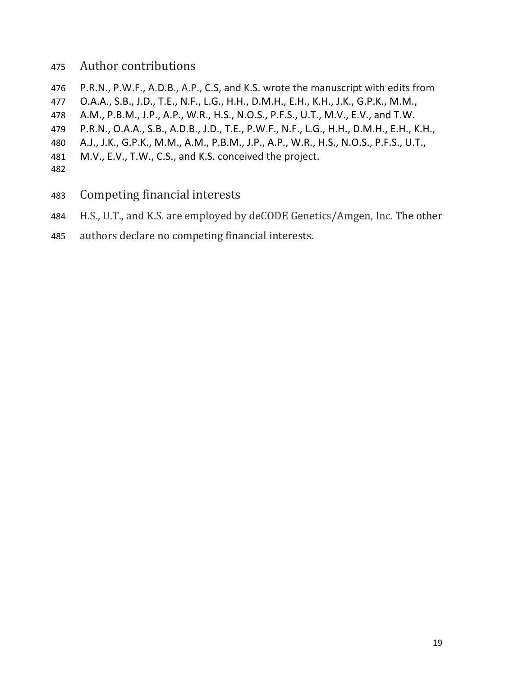## 475 Author contributions

- 476 P.R.N., P.W.F., A.D.B., A.P., C.S, and K.S. wrote the manuscript with edits from
- 477 O.A.A., S.B., J.D., T.E., N.F., L.G., H.H., D.M.H., E.H., K.H., J.K., G.P.K., M.M.,
- 478 A.M., P.B.M., J.P., A.P., W.R., H.S., N.O.S., P.F.S., U.T., M.V., E.V., and T.W.
- 479 P.R.N., O.A.A., S.B., A.D.B., J.D., T.E., P.W.F., N.F., L.G., H.H., D.M.H., E.H., K.H.,
- 480 A.J., J.K., G.P.K., M.M., A.M., P.B.M., J.P., A.P., W.R., H.S., N.O.S., P.F.S., U.T.,
- 481 M.V., E.V., T.W., C.S., and K.S. conceived the project.
- 482
- 483 Competing financial interests
- 484 H.S., U.T., and K.S. are employed by deCODE Genetics/Amgen, Inc. The other
- 485 authors declare no competing financial interests.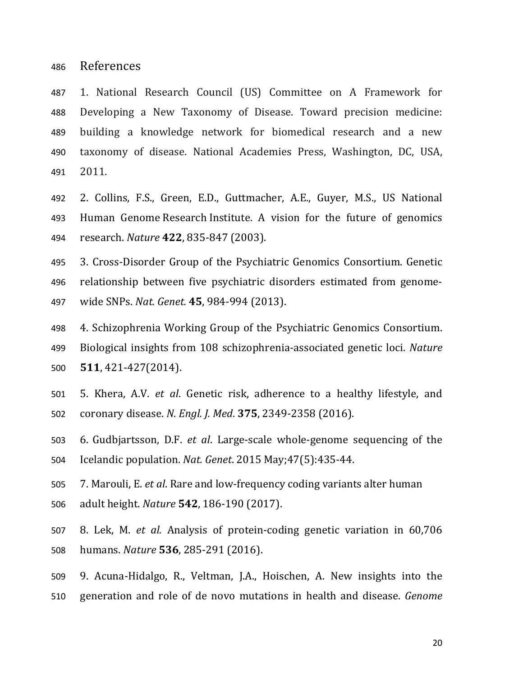References

1. National Research Council (US) Committee on A Framework for Developing a New Taxonomy of Disease. Toward precision medicine: building a knowledge network for biomedical research and a new taxonomy of disease. National Academies Press, Washington, DC, USA, 2011.

2. Collins, F.S., Green, E.D., Guttmacher, A.E., Guyer, M.S., US National Human Genome Research Institute. A vision for the future of genomics research. *Nature* **422**, 835-847 (2003).

3. Cross-Disorder Group of the Psychiatric Genomics Consortium. Genetic relationship between five psychiatric disorders estimated from genome-wide SNPs. *Nat. Genet.* **45**, 984-994 (2013).

- 4. Schizophrenia Working Group of the Psychiatric Genomics Consortium. Biological insights from 108 schizophrenia-associated genetic loci. *Nature* **511**, 421-427(2014).
- 5. Khera, A.V. *et al*. Genetic risk, adherence to a healthy lifestyle, and coronary disease. *N. Engl. J. Med*. **375**, 2349-2358 (2016).
- 6. Gudbjartsson, D.F. *et al*. Large-scale whole-genome sequencing of the Icelandic population. *Nat. Genet*. 2015 May;47(5):435-44.
- 7. Marouli, E. *et al*. Rare and low-frequency coding variants alter human adult height. *Nature* **542**, 186-190 (2017).
- 8. Lek, M. *et al.* Analysis of protein-coding genetic variation in 60,706 humans. *Nature* **536**, 285-291 (2016).
- 9. Acuna-Hidalgo, R., Veltman, J.A., Hoischen, A. New insights into the generation and role of de novo mutations in health and disease. *Genome*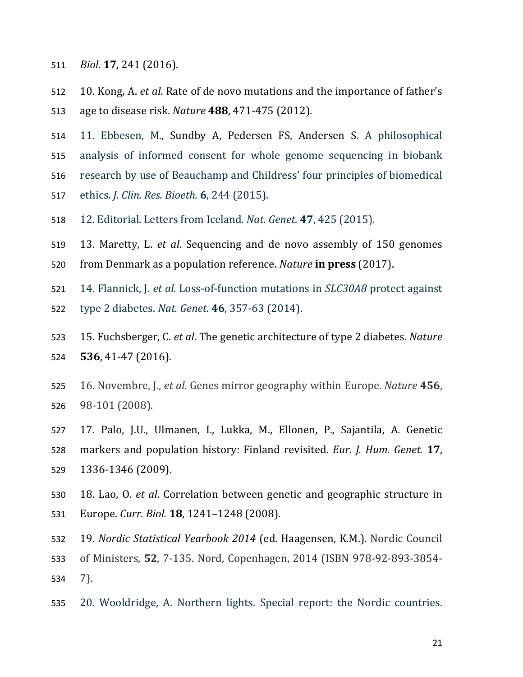- *Biol*. **17**, 241 (2016).
- 10. Kong, A. *et al*. Rate of de novo mutations and the importance of father's age to disease risk. *Nature* **488**, 471-475 (2012).
- 11. Ebbesen, M., Sundby A, Pedersen FS, Andersen S. A philosophical
- analysis of informed consent for whole genome sequencing in biobank
- research by use of Beauchamp and Childress' four principles of biomedical
- ethics. *J. Clin. Res. Bioeth.* **6**, 244 (2015).
- 12. Editorial. Letters from Iceland. *Nat. Genet*. **47**, 425 (2015).
- 13. Maretty, L. *et al*. Sequencing and de novo assembly of 150 genomes
- from Denmark as a population reference. *Nature* **in press** (2017).
- 14. Flannick, J. *et al*. Loss-of-function mutations in *SLC30A8* protect against
- type 2 diabetes. *Nat. Genet.* **46**, 357-63 (2014).
- 15. Fuchsberger, C. *et al*. The genetic architecture of type 2 diabetes. *Nature* **536**, 41-47 (2016).
- 16. Novembre, J., *et al*. Genes mirror geography within Europe. *Nature* **456**, 98-101 (2008).
- 17. Palo, J.U., Ulmanen, I., Lukka, M., Ellonen, P., Sajantila, A. Genetic markers and population history: Finland revisited. *Eur. J. Hum. Genet.* **17**, 1336-1346 (2009).
- 18. Lao, O. *et al*. Correlation between genetic and geographic structure in Europe. *Curr. Biol.* **18**, 1241–1248 (2008).
- 19. *Nordic Statistical Yearbook 2014* (ed. Haagensen, K.M.). Nordic Council
- of Ministers, **52**, 7-135. Nord, Copenhagen, 2014 (ISBN 978-92-893-3854- 7).
- 20. Wooldridge, A. Northern lights. Special report: the Nordic countries.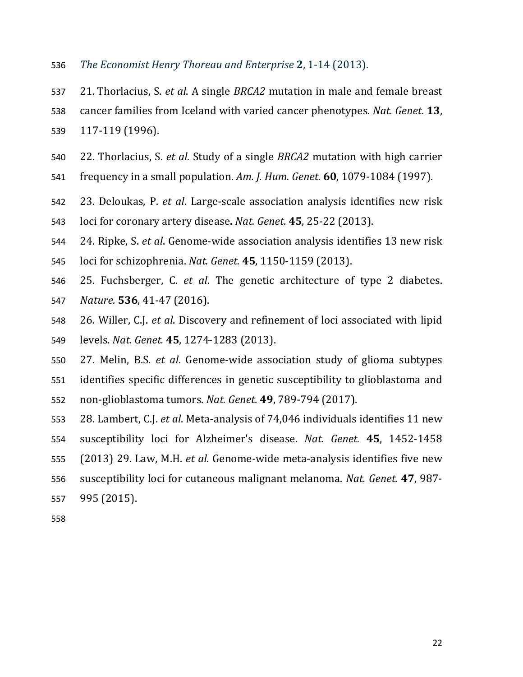- *The Economist Henry Thoreau and Enterprise* **2**, 1-14 (2013).
- 21. Thorlacius, S. *et al*. A single *BRCA2* mutation in male and female breast
- cancer families from Iceland with varied cancer phenotypes. *Nat. Genet*. **13**,
- 117-119 (1996).
- 22. Thorlacius, S. *et al*. Study of a single *BRCA2* mutation with high carrier
- frequency in a small population. *Am. J. Hum. Genet.* **60**, 1079-1084 (1997).
- 23. Deloukas, P. *et al*. Large-scale association analysis identifies new risk
- loci for coronary artery disease**.** *Nat. Genet*. **45**, 25-22 (2013).
- 24. Ripke, S. *et al*. Genome-wide association analysis identifies 13 new risk
- loci for schizophrenia. *Nat. Genet.* **45**, 1150-1159 (2013).
- 25. Fuchsberger, C. *et al*. The genetic architecture of type 2 diabetes. *Nature.* **536**, 41-47 (2016).
- 26. Willer, C.J. *et al*. Discovery and refinement of loci associated with lipid levels. *Nat. Genet.* **45**, 1274-1283 (2013).
- 27. Melin, B.S. *et al*. Genome-wide association study of glioma subtypes identifies specific differences in genetic susceptibility to glioblastoma and non-glioblastoma tumors. *Nat. Genet*. **49**, 789-794 (2017).
- 28. Lambert, C.J. *et al*. Meta-analysis of 74,046 individuals identifies 11 new susceptibility loci for Alzheimer's disease. *Nat. Genet.* **45**, 1452-1458 (2013) 29. Law, M.H. *et al*. Genome-wide meta-analysis identifies five new susceptibility loci for cutaneous malignant melanoma. *Nat. Genet.* **47**, 987- 995 (2015).
-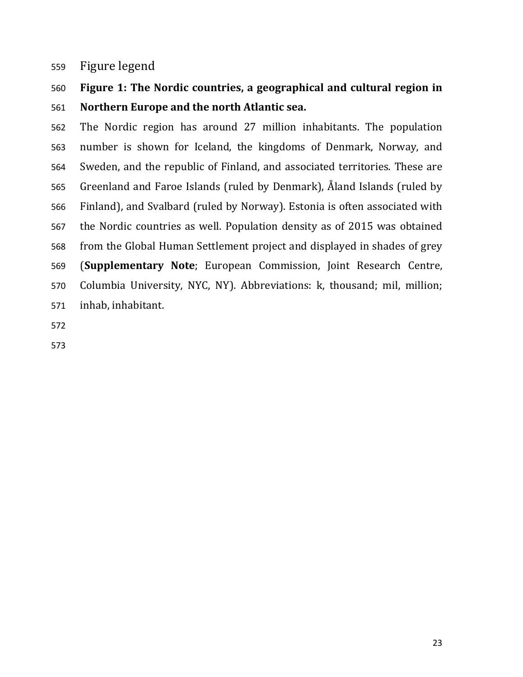## Figure legend

# **Figure 1: The Nordic countries, a geographical and cultural region in Northern Europe and the north Atlantic sea.**

The Nordic region has around 27 million inhabitants. The population number is shown for Iceland, the kingdoms of Denmark, Norway, and Sweden, and the republic of Finland, and associated territories. These are Greenland and Faroe Islands (ruled by Denmark), Åland Islands (ruled by Finland), and Svalbard (ruled by Norway). Estonia is often associated with the Nordic countries as well. Population density as of 2015 was obtained from the Global Human Settlement project and displayed in shades of grey (**Supplementary Note**; European Commission, Joint Research Centre, Columbia University, NYC, NY). Abbreviations: k, thousand; mil, million; inhab, inhabitant.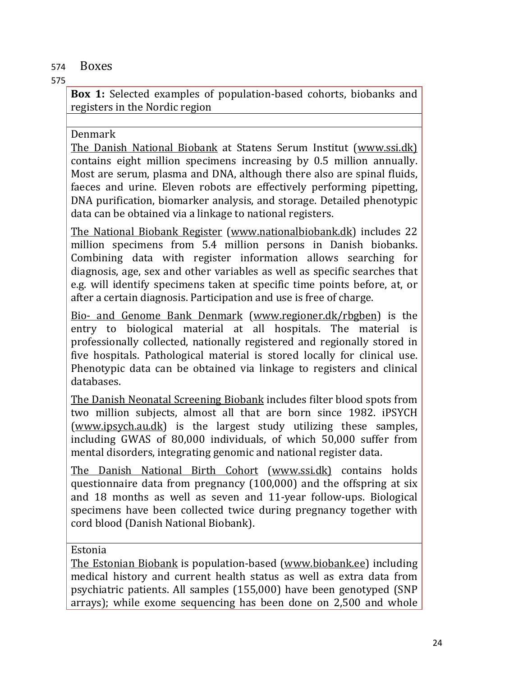## 574 Boxes

## 575

**Box 1:** Selected examples of population-based cohorts, biobanks and registers in the Nordic region

## Denmark

The Danish National Biobank at Statens Serum Institut (www.ssi.dk) contains eight million specimens increasing by 0.5 million annually. Most are serum, plasma and DNA, although there also are spinal fluids, faeces and urine. Eleven robots are effectively performing pipetting, DNA purification, biomarker analysis, and storage. Detailed phenotypic data can be obtained via a linkage to national registers.

The National Biobank Register (www.nationalbiobank.dk) includes 22 million specimens from 5.4 million persons in Danish biobanks. Combining data with register information allows searching for diagnosis, age, sex and other variables as well as specific searches that e.g. will identify specimens taken at specific time points before, at, or after a certain diagnosis. Participation and use is free of charge.

Bio- and Genome Bank Denmark (www.regioner.dk/rbgben) is the entry to biological material at all hospitals. The material is professionally collected, nationally registered and regionally stored in five hospitals. Pathological material is stored locally for clinical use. Phenotypic data can be obtained via linkage to registers and clinical databases.

The Danish Neonatal Screening Biobank includes filter blood spots from two million subjects, almost all that are born since 1982. iPSYCH (www.ipsych.au.dk) is the largest study utilizing these samples, including GWAS of 80,000 individuals, of which 50,000 suffer from mental disorders, integrating genomic and national register data.

The Danish National Birth Cohort (www.ssi.dk) contains holds questionnaire data from pregnancy (100,000) and the offspring at six and 18 months as well as seven and 11-year follow-ups. Biological specimens have been collected twice during pregnancy together with cord blood (Danish National Biobank).

## Estonia

The Estonian Biobank is population-based (www.biobank.ee) including medical history and current health status as well as extra data from psychiatric patients. All samples (155,000) have been genotyped (SNP arrays); while exome sequencing has been done on 2,500 and whole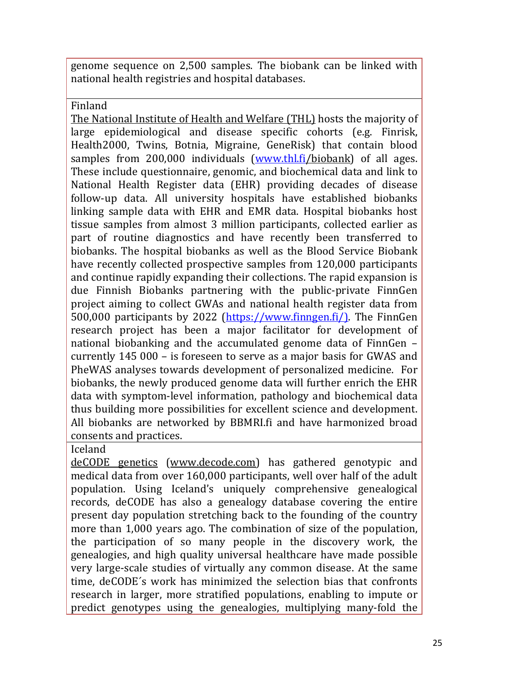genome sequence on 2,500 samples. The biobank can be linked with national health registries and hospital databases.

Finland

The National Institute of Health and Welfare (THL) hosts the majority of large epidemiological and disease specific cohorts (e.g. Finrisk, Health2000, Twins, Botnia, Migraine, GeneRisk) that contain blood samples from 200,000 individuals (www.thl.fi/biobank) of all ages. These include questionnaire, genomic, and biochemical data and link to National Health Register data (EHR) providing decades of disease follow-up data. All university hospitals have established biobanks linking sample data with EHR and EMR data. Hospital biobanks host tissue samples from almost 3 million participants, collected earlier as part of routine diagnostics and have recently been transferred to biobanks. The hospital biobanks as well as the Blood Service Biobank have recently collected prospective samples from 120,000 participants and continue rapidly expanding their collections. The rapid expansion is due Finnish Biobanks partnering with the public-private FinnGen project aiming to collect GWAs and national health register data from 500,000 participants by 2022 (https://www.finngen.fi/). The FinnGen research project has been a major facilitator for development of national biobanking and the accumulated genome data of FinnGen – currently 145 000 – is foreseen to serve as a major basis for GWAS and PheWAS analyses towards development of personalized medicine. For biobanks, the newly produced genome data will further enrich the EHR data with symptom-level information, pathology and biochemical data thus building more possibilities for excellent science and development. All biobanks are networked by BBMRI.fi and have harmonized broad consents and practices.

Iceland

deCODE genetics (www.decode.com) has gathered genotypic and medical data from over 160,000 participants, well over half of the adult population. Using Iceland's uniquely comprehensive genealogical records, deCODE has also a genealogy database covering the entire present day population stretching back to the founding of the country more than 1,000 years ago. The combination of size of the population, the participation of so many people in the discovery work, the genealogies, and high quality universal healthcare have made possible very large-scale studies of virtually any common disease. At the same time, deCODE´s work has minimized the selection bias that confronts research in larger, more stratified populations, enabling to impute or predict genotypes using the genealogies, multiplying many-fold the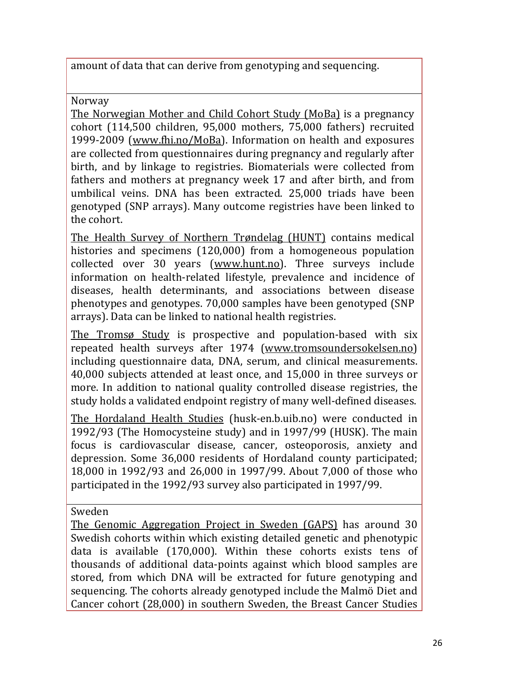amount of data that can derive from genotyping and sequencing.

Norway

The Norwegian Mother and Child Cohort Study (MoBa) is a pregnancy cohort (114,500 children, 95,000 mothers, 75,000 fathers) recruited 1999-2009 (www.fhi.no/MoBa). Information on health and exposures are collected from questionnaires during pregnancy and regularly after birth, and by linkage to registries. Biomaterials were collected from fathers and mothers at pregnancy week 17 and after birth, and from umbilical veins. DNA has been extracted. 25,000 triads have been genotyped (SNP arrays). Many outcome registries have been linked to the cohort.

The Health Survey of Northern Trøndelag (HUNT) contains medical histories and specimens (120,000) from a homogeneous population collected over 30 years (www.hunt.no). Three surveys include information on health-related lifestyle, prevalence and incidence of diseases, health determinants, and associations between disease phenotypes and genotypes. 70,000 samples have been genotyped (SNP arrays). Data can be linked to national health registries.

The Tromsø Study is prospective and population-based with six repeated health surveys after 1974 (www.tromsoundersokelsen.no) including questionnaire data, DNA, serum, and clinical measurements. 40,000 subjects attended at least once, and 15,000 in three surveys or more. In addition to national quality controlled disease registries, the study holds a validated endpoint registry of many well-defined diseases.

The Hordaland Health Studies (husk-en.b.uib.no) were conducted in 1992/93 (The Homocysteine study) and in 1997/99 (HUSK). The main focus is cardiovascular disease, cancer, osteoporosis, anxiety and depression. Some 36,000 residents of Hordaland county participated; 18,000 in 1992/93 and 26,000 in 1997/99. About 7,000 of those who participated in the 1992/93 survey also participated in 1997/99.

Sweden

The Genomic Aggregation Project in Sweden (GAPS) has around 30 Swedish cohorts within which existing detailed genetic and phenotypic data is available (170,000). Within these cohorts exists tens of thousands of additional data-points against which blood samples are stored, from which DNA will be extracted for future genotyping and sequencing. The cohorts already genotyped include the Malmö Diet and Cancer cohort (28,000) in southern Sweden, the Breast Cancer Studies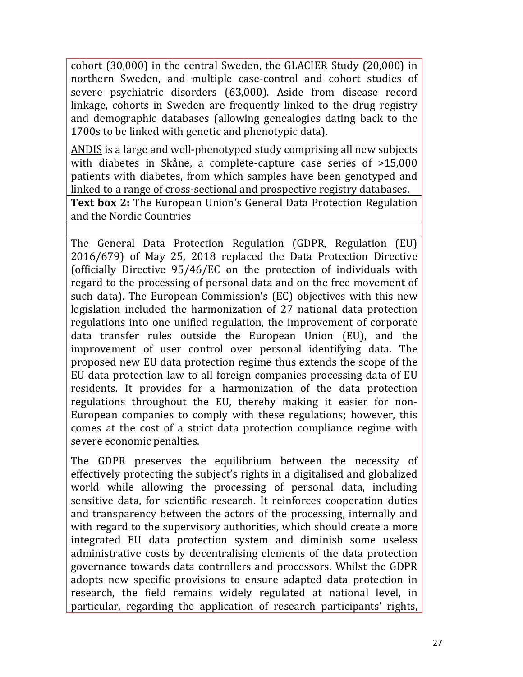cohort (30,000) in the central Sweden, the GLACIER Study (20,000) in northern Sweden, and multiple case-control and cohort studies of severe psychiatric disorders (63,000). Aside from disease record linkage, cohorts in Sweden are frequently linked to the drug registry and demographic databases (allowing genealogies dating back to the 1700s to be linked with genetic and phenotypic data).

ANDIS is a large and well-phenotyped study comprising all new subjects with diabetes in Skåne, a complete-capture case series of >15,000 patients with diabetes, from which samples have been genotyped and linked to a range of cross-sectional and prospective registry databases.

**Text box 2:** The European Union's General Data Protection Regulation and the Nordic Countries

The General Data Protection Regulation (GDPR, Regulation (EU) 2016/679) of May 25, 2018 replaced the Data Protection Directive (officially Directive 95/46/EC on the protection of individuals with regard to the processing of personal data and on the free movement of such data). The European Commission's (EC) objectives with this new legislation included the harmonization of 27 national data protection regulations into one unified regulation, the improvement of corporate data transfer rules outside the European Union (EU), and the improvement of user control over personal identifying data. The proposed new EU data protection regime thus extends the scope of the EU data protection law to all foreign companies processing data of EU residents. It provides for a harmonization of the data protection regulations throughout the EU, thereby making it easier for non-European companies to comply with these regulations; however, this comes at the cost of a strict data protection compliance regime with severe economic penalties.

The GDPR preserves the equilibrium between the necessity of effectively protecting the subject's rights in a digitalised and globalized world while allowing the processing of personal data, including sensitive data, for scientific research. It reinforces cooperation duties and transparency between the actors of the processing, internally and with regard to the supervisory authorities, which should create a more integrated EU data protection system and diminish some useless administrative costs by decentralising elements of the data protection governance towards data controllers and processors. Whilst the GDPR adopts new specific provisions to ensure adapted data protection in research, the field remains widely regulated at national level, in particular, regarding the application of research participants' rights,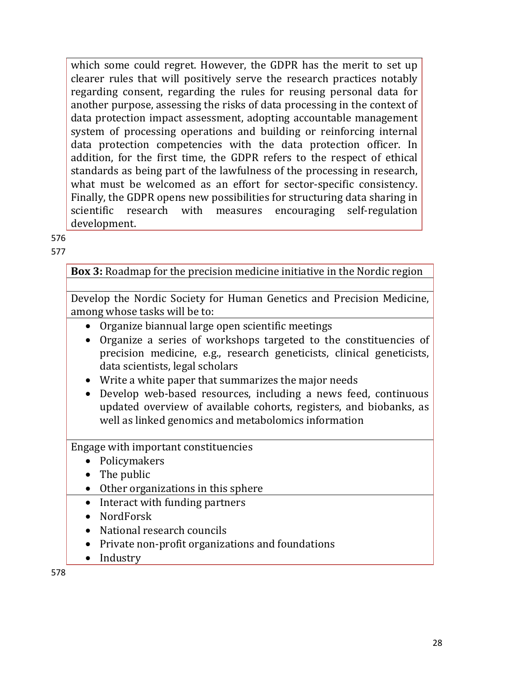which some could regret. However, the GDPR has the merit to set up clearer rules that will positively serve the research practices notably regarding consent, regarding the rules for reusing personal data for another purpose, assessing the risks of data processing in the context of data protection impact assessment, adopting accountable management system of processing operations and building or reinforcing internal data protection competencies with the data protection officer. In addition, for the first time, the GDPR refers to the respect of ethical standards as being part of the lawfulness of the processing in research, what must be welcomed as an effort for sector-specific consistency. Finally, the GDPR opens new possibilities for structuring data sharing in scientific research with measures encouraging self-regulation development.

576

577

**Box 3:** Roadmap for the precision medicine initiative in the Nordic region

Develop the Nordic Society for Human Genetics and Precision Medicine, among whose tasks will be to:

- Organize biannual large open scientific meetings
- Organize a series of workshops targeted to the constituencies of precision medicine, e.g., research geneticists, clinical geneticists, data scientists, legal scholars
- Write a white paper that summarizes the major needs
- Develop web-based resources, including a news feed, continuous updated overview of available cohorts, registers, and biobanks, as well as linked genomics and metabolomics information

Engage with important constituencies

- Policymakers
- The public
- Other organizations in this sphere
- Interact with funding partners
- NordForsk
- National research councils
- Private non-profit organizations and foundations
- Industry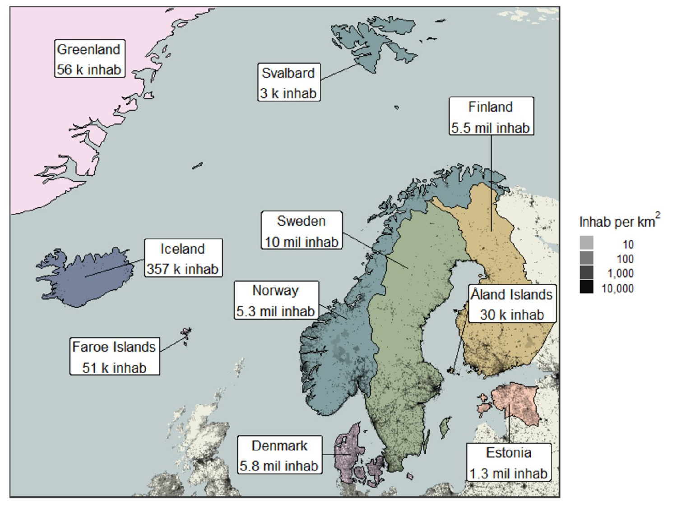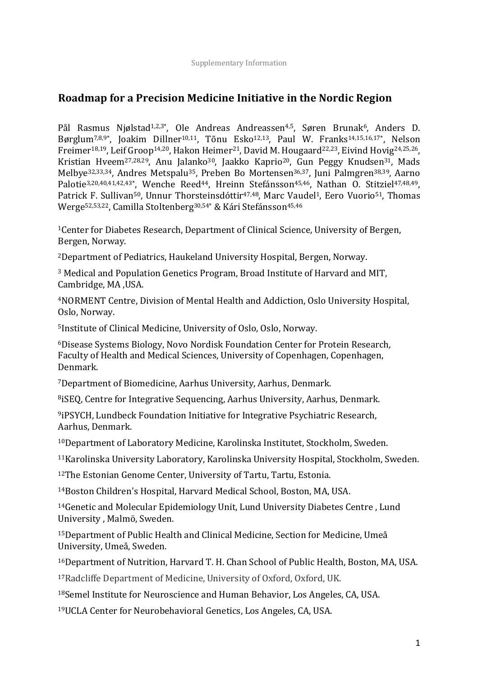# **Roadmap for a Precision Medicine Initiative in the Nordic Region**

Pål Rasmus Njølstad<sup>1,2,3\*</sup>, Ole Andreas, Andreassen<sup>4,5</sup>, Søren, Brunak<sup>6</sup>, Anders, D. Børglum<sup>7,8,9\*</sup>, Joakim Dillner<sup>10,11</sup>, Tõnu Esko<sup>12,13</sup>, Paul W. Franks<sup>14,15,16,17\*</sup>, Nelson Freimer<sup>18,19</sup>, Leif Groop<sup>14,20</sup>, Hakon Heimer<sup>21</sup>, David M. Hougaard<sup>22,23</sup>, Eivind Hovig<sup>24,25,26</sup>, Kristian Hveem<sup>27,28,29</sup>, Anu Jalanko<sup>30</sup>, Jaakko Kaprio<sup>20</sup>, Gun Peggy Knudsen<sup>31</sup>, Mads Melbye<sup>32,33,34</sup>, Andres, Metspalu<sup>35</sup>, Preben, Bo, Mortensen<sup>36,37</sup>, Juni, Palmgren<sup>38,39</sup>, Aarno, Palotie<sup>3,20,40,41,42,43\*</sup>, Wenche Reed<sup>44</sup>, Hreinn Stefánsson<sup>45,46</sup>, Nathan O. Stitziel<sup>47,48,49</sup>, Patrick,F. Sullivan<sup>50</sup>, Unnur,Thorsteinsdóttir<sup>47,48</sup>, Marc,Vaudel<sup>1</sup>, Eero, Vuorio<sup>51</sup>, Thomas Werge<sup>52,53,22</sup>, Camilla Stoltenberg<sup>30,54\*</sup> & Kári Stefánsson<sup>45,46</sup>

<sup>1</sup>Center for Diabetes Research, Department of Clinical Science, University of Bergen, Bergen, Norway.

<sup>2</sup>Department of Pediatrics, Haukeland University Hospital, Bergen, Norway.

<sup>3</sup> Medical and Population Genetics Program, Broad Institute of Harvard and MIT, Cambridge, MA, USA.

<sup>4</sup>NORMENT Centre, Division of Mental Health and Addiction, Oslo University Hospital, Oslo, Norway.

<sup>5</sup>Institute of Clinical Medicine, University of Oslo, Oslo, Norway.

<sup>6</sup>Disease Systems Biology, Novo Nordisk Foundation Center for Protein Research, Faculty of Health and Medical Sciences, University of Copenhagen, Copenhagen, Denmark.

<sup>7</sup>Department of Biomedicine, Aarhus University, Aarhus, Denmark.

<sup>8</sup>iSEQ, Centre for Integrative Sequencing, Aarhus University, Aarhus, Denmark.

<sup>9</sup>iPSYCH, Lundbeck Foundation Initiative for Integrative Psychiatric Research, Aarhus, Denmark.

<sup>10</sup>Department of Laboratory Medicine, Karolinska Institutet, Stockholm, Sweden.

<sup>11</sup>Karolinska University Laboratory, Karolinska University Hospital, Stockholm, Sweden.

<sup>12</sup>The Estonian Genome Center, University of Tartu, Tartu, Estonia.

<sup>14</sup>Boston Children's Hospital, Harvard Medical School, Boston, MA, USA.

<sup>14</sup>Genetic and Molecular Epidemiology Unit, Lund University Diabetes Centre, Lund University, Malmö, Sweden.

<sup>15</sup>Department of Public Health and Clinical Medicine, Section for Medicine, Umeå University, Umeå, Sweden.

<sup>16</sup>Department of Nutrition, Harvard T. H. Chan School of Public Health, Boston, MA, USA.

<sup>17</sup>Radcliffe Department of Medicine, University of Oxford, Oxford, UK.

<sup>18</sup>Semel Institute for Neuroscience and Human Behavior, Los Angeles, CA, USA.

<sup>19</sup>UCLA Center for Neurobehavioral Genetics, Los Angeles, CA, USA.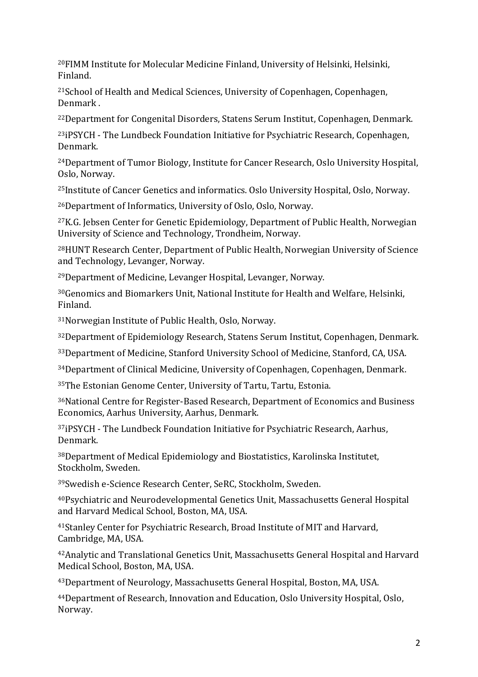<sup>20</sup>FIMM Institute for Molecular Medicine Finland, University of Helsinki, Helsinki, Finland.

<sup>21</sup>School of Health and Medical Sciences, University of Copenhagen, Copenhagen, Denmark .

<sup>22</sup>Department for Congenital Disorders, Statens Serum Institut, Copenhagen, Denmark.

<sup>23</sup>iPSYCH - The Lundbeck Foundation Initiative for Psychiatric Research, Copenhagen, Denmark.

<sup>24</sup>Department of Tumor Biology, Institute for Cancer Research, Oslo University Hospital, Oslo, Norway.

<sup>25</sup>Institute of Cancer Genetics and informatics. Oslo University Hospital, Oslo, Norway.

<sup>26</sup>Department of Informatics, University of Oslo, Oslo, Norway.

<sup>27</sup>K.G. Jebsen Center for Genetic Epidemiology, Department of Public Health, Norwegian University of Science and Technology, Trondheim, Norway.

<sup>28</sup>HUNT Research Center, Department of Public Health, Norwegian University of Science and Technology, Levanger, Norway.

<sup>29</sup>Department of Medicine, Levanger Hospital, Levanger, Norway.

<sup>30</sup>Genomics and Biomarkers Unit, National Institute for Health and Welfare, Helsinki, Finland.

<sup>31</sup>Norwegian Institute of Public Health, Oslo, Norway.

<sup>32</sup>Department of Epidemiology Research, Statens Serum Institut, Copenhagen, Denmark.

33 Department of Medicine, Stanford University School of Medicine, Stanford, CA, USA.

<sup>34</sup>Department of Clinical Medicine, University of Copenhagen, Copenhagen, Denmark.

35The Estonian Genome Center, University of Tartu, Tartu, Estonia.

<sup>36</sup>National Centre for Register-Based Research, Department of Economics and Business Economics, Aarhus University, Aarhus, Denmark.

37iPSYCH - The Lundbeck Foundation Initiative for Psychiatric Research, Aarhus, Denmark.

38Department of Medical Epidemiology and Biostatistics, Karolinska Institutet, Stockholm, Sweden.

39Swedish e-Science Research Center, SeRC, Stockholm, Sweden.

<sup>40</sup>Psychiatric and Neurodevelopmental Genetics Unit, Massachusetts General Hospital and Harvard Medical School, Boston, MA, USA.

<sup>41</sup>Stanley Center for Psychiatric Research, Broad Institute of MIT and Harvard, Cambridge, MA, USA.

<sup>42</sup>Analytic and Translational Genetics Unit, Massachusetts General Hospital and Harvard Medical School, Boston, MA, USA.

43 Department of Neurology, Massachusetts General Hospital, Boston, MA, USA.

<sup>44</sup>Department of Research, Innovation and Education, Oslo University Hospital, Oslo, Norway.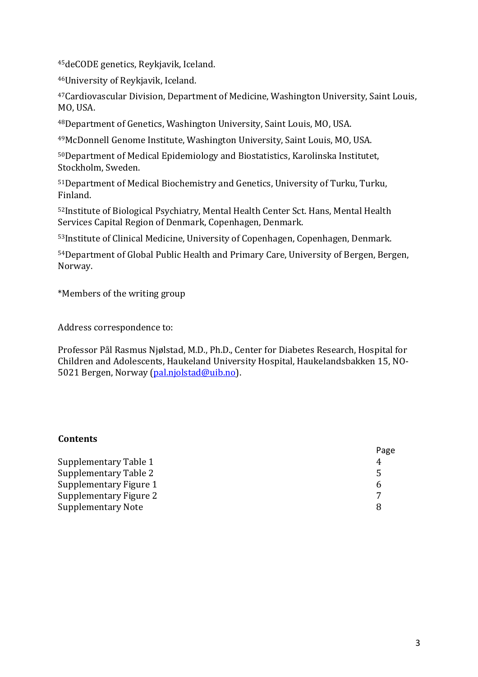45deCODE genetics, Reykjavik, Iceland.

46University of Reykjavik, Iceland.

<sup>47</sup>Cardiovascular Division, Department of Medicine, Washington University, Saint Louis, MO, USA.

48 Department of Genetics, Washington University, Saint Louis, MO, USA.

49McDonnell Genome Institute, Washington University, Saint Louis, MO, USA.

50 Department of Medical Epidemiology and Biostatistics, Karolinska Institutet, Stockholm, Sweden.

51 Department of Medical Biochemistry and Genetics, University of Turku, Turku, Finland.

52Institute of Biological Psychiatry, Mental Health Center Sct. Hans, Mental Health Services Capital Region of Denmark, Copenhagen, Denmark.

53Institute of Clinical Medicine, University of Copenhagen, Copenhagen, Denmark.

54Department of Global Public Health and Primary Care, University of Bergen, Bergen, Norway.

\*Members of the writing group

Address correspondence to:

Professor,Pål,Rasmus,Njølstad,M.D.,Ph.D., Center,for,Diabetes,Research, Hospital,for Children and Adolescents, Haukeland University Hospital, Haukelandsbakken 15, NO-5021 Bergen, Norway (pal.njolstad@uib.no).

#### **Contents**

|                           | Page |
|---------------------------|------|
| Supplementary Table 1     |      |
| Supplementary Table 2     |      |
| Supplementary Figure 1    |      |
| Supplementary Figure 2    |      |
| <b>Supplementary Note</b> |      |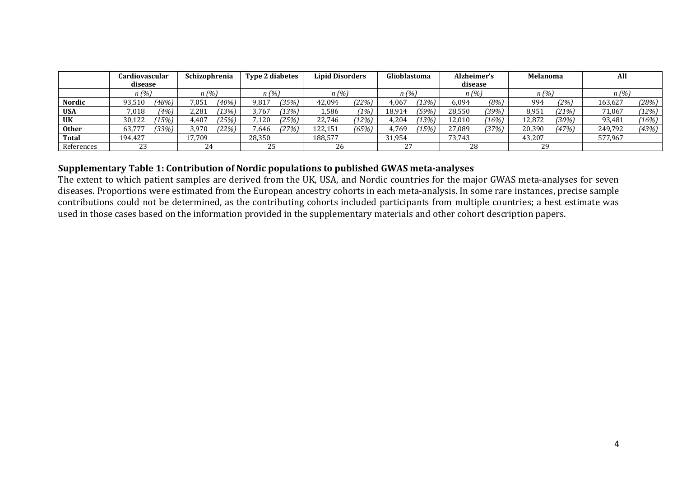|              | Cardiovascular   |  |        |       | Schizophrenia |         | <b>Type 2 diabetes</b> |       | <b>Lipid Disorders</b> |       | Glioblastoma                    |       | Alzheimer's |       | Melanoma |       | All |  |
|--------------|------------------|--|--------|-------|---------------|---------|------------------------|-------|------------------------|-------|---------------------------------|-------|-------------|-------|----------|-------|-----|--|
|              | disease          |  |        |       |               |         |                        |       |                        |       |                                 |       | disease     |       |          |       |     |  |
|              | n(%)             |  | n (%)  |       | n(%)          |         | n (%)                  |       | n(%)                   |       | n(%)                            |       | n(%         |       | n (%)    |       |     |  |
| Nordic       | (48%)<br>93,510  |  | 7,051  | (40%) | 9.817         | (35%)   | 42.094                 | (22%) | 4,067                  | (13%) | 6.094                           | (8%)  | 994         | (2%)  | 163,627  | (28%) |     |  |
| <b>USA</b>   | (4%)<br>7,018    |  | 2,281  | 13%   | 3,767         | $13\%)$ | 1,586                  | (1%)  | 18,914                 | (59%) | 28,550                          | (39%) | 8.951       | (21%) | 71,067   | (12%) |     |  |
| <b>UK</b>    | 75%)<br>30.122   |  | 4,407  | (25%) | .120          | (25%)   | 22.746                 | (12%) | 4,204                  | 73%)  | 12,010                          | (16%) | 12.872      | (30%) | 93,481   | (16%) |     |  |
| <b>Other</b> | $33\%$<br>63,777 |  | 3.970  | (22%) | ,646          | (27%)   | 122,151                | (65%) | 4.769                  | 15%   | 27.089                          | (37%) | 20.390      | (47%) | 249,792  | (43%) |     |  |
| Total        | 194.427          |  | 17.709 |       | 28,350        |         | 188,577                |       | 31.954                 |       | 73,743                          |       | 43,207      |       | 577.967  |       |     |  |
| References   | 23               |  |        |       | $\sim$<br>44  |         | 25                     |       | 26                     |       | $\mathcal{L}$<br>$\overline{L}$ |       | 28          |       | 29       |       |     |  |

#### Supplementary Table 1: Contribution of Nordic populations to published GWAS meta-analyses

The extent to which patient samples are derived from the UK, USA, and Nordic countries for the major GWAS meta-analyses for seven diseases. Proportions were estimated from the European ancestry cohorts in each meta-analysis. In some rare instances, precise sample contributions could not be determined, as the contributing cohorts included participants from multiple countries; a best estimate was used in those cases based on the information provided in the supplementary materials and other cohort description papers.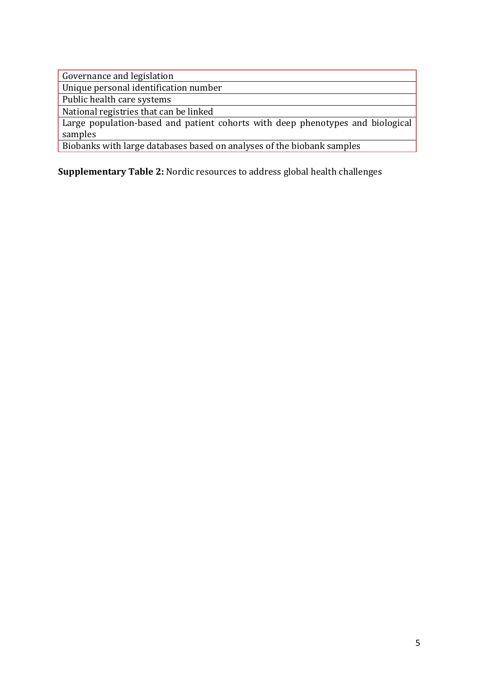**Supplementary Table 2: Nordic resources to address global health challenges**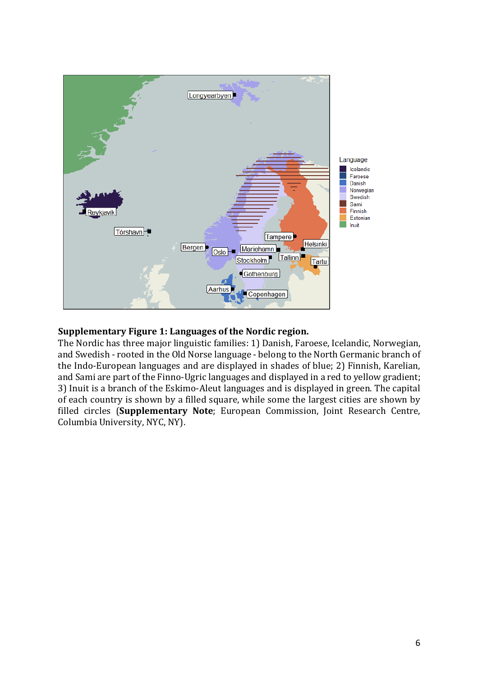

## **Supplementary Figure 1: Languages of the Nordic region.**

The Nordic has three major linguistic families: 1) Danish, Faroese, Icelandic, Norwegian, and Swedish - rooted in the Old Norse language - belong to the North Germanic branch of the Indo-European languages and are displayed in shades of blue; 2) Finnish, Karelian, and Sami are part of the Finno-Ugric languages and displayed in a red to yellow gradient; 3) Inuit is a branch of the Eskimo-Aleut languages and is displayed in green. The capital of each country is shown by a filled square, while some the largest cities are shown by filled circles (**Supplementary Note**; European Commission, Joint Research Centre, Columbia University, NYC, NY).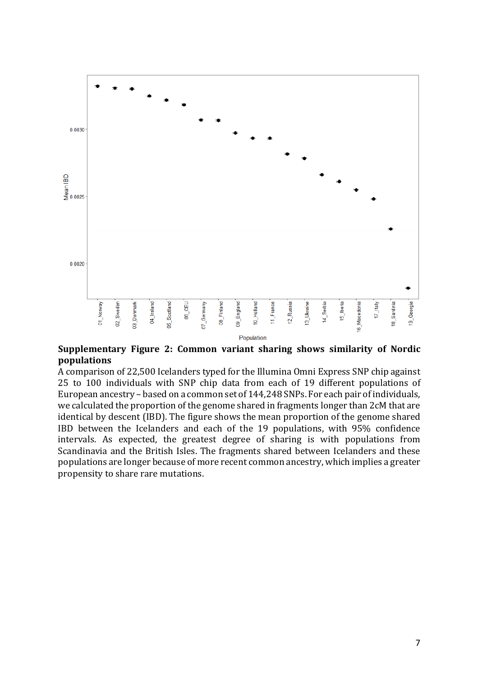

#### Supplementary Figure 2: Common variant sharing shows similarity of Nordic **populations**

A comparison of 22,500 Icelanders typed for the Illumina Omni Express SNP chip against 25 to 100 individuals with SNP chip data from each of 19 different populations of European ancestry – based on a common set of 144.248 SNPs. For each pair of individuals, we calculated the proportion of the genome shared in fragments longer than 2cM that are identical by descent (IBD). The figure shows the mean proportion of the genome shared IBD between the Icelanders and each of the 19 populations, with 95% confidence intervals. As expected, the greatest degree of sharing is with populations from Scandinavia and the British Isles. The fragments shared between Icelanders and these populations are longer because of more recent common ancestry, which implies a greater propensity to share rare mutations.